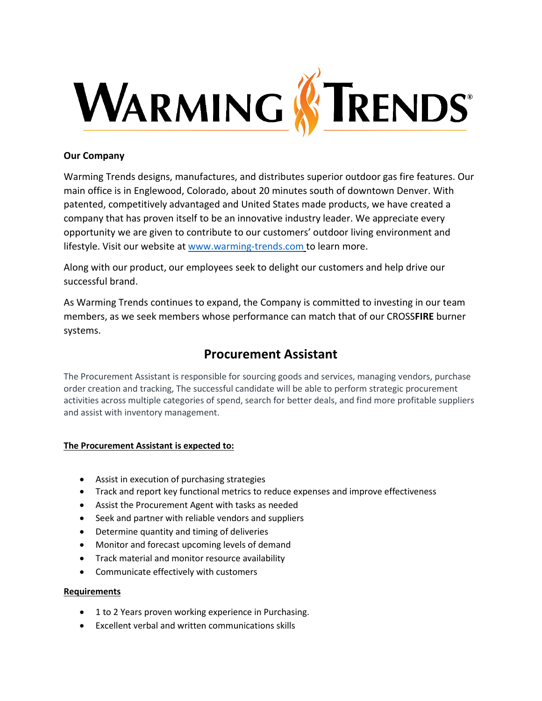

## **Our Company**

Warming Trends designs, manufactures, and distributes superior outdoor gas fire features. Our main office is in Englewood, Colorado, about 20 minutes south of downtown Denver. With patented, competitively advantaged and United States made products, we have created a company that has proven itself to be an innovative industry leader. We appreciate every opportunity we are given to contribute to our customers' outdoor living environment and lifestyle. Visit our website at [www.warming-trends.com](http://www.warming-trends.com/) to learn more.

Along with our product, our employees seek to delight our customers and help drive our successful brand.

As Warming Trends continues to expand, the Company is committed to investing in our team members, as we seek members whose performance can match that of our CROSS**FIRE** burner systems.

# **Procurement Assistant**

The Procurement Assistant is responsible for sourcing goods and services, managing vendors, purchase order creation and tracking, The successful candidate will be able to perform strategic procurement activities across multiple categories of spend, search for better deals, and find more profitable suppliers and assist with inventory management.

## **The Procurement Assistant is expected to:**

- Assist in execution of purchasing strategies
- Track and report key functional metrics to reduce expenses and improve effectiveness
- Assist the Procurement Agent with tasks as needed
- Seek and partner with reliable vendors and suppliers
- Determine quantity and timing of deliveries
- Monitor and forecast upcoming levels of demand
- Track material and monitor resource availability
- Communicate effectively with customers

## **Requirements**

- 1 to 2 Years proven working experience in Purchasing.
- Excellent verbal and written communications skills